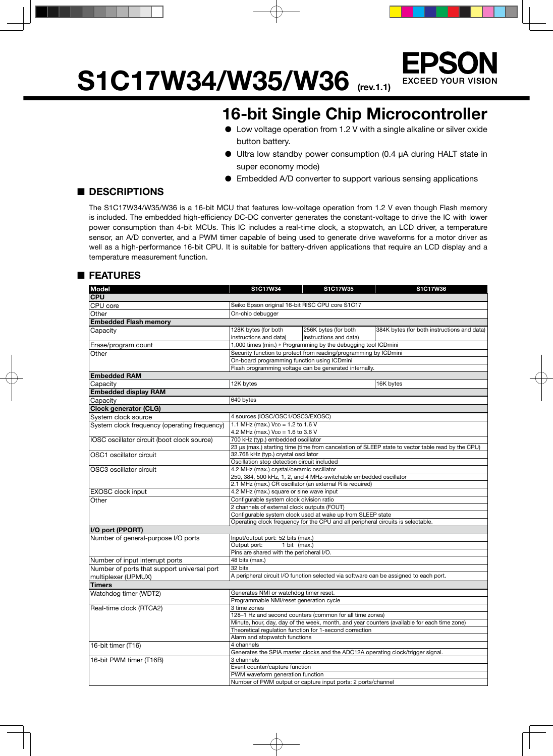**S1C17W34/W35/W36 (rev.1.1)**



### **16-bit Single Chip Microcontroller**

- Low voltage operation from 1.2 V with a single alkaline or silver oxide button battery.
- Ultra low standby power consumption (0.4 µA during HALT state in super economy mode)
- Embedded A/D converter to support various sensing applications

### ■ **DESCRIPTIONS**

The S1C17W34/W35/W36 is a 16-bit MCU that features low-voltage operation from 1.2 V even though Flash memory is included. The embedded high-efficiency DC-DC converter generates the constant-voltage to drive the IC with lower power consumption than 4-bit MCUs. This IC includes a real-time clock, a stopwatch, an LCD driver, a temperature sensor, an A/D converter, and a PWM timer capable of being used to generate drive waveforms for a motor driver as well as a high-performance 16-bit CPU. It is suitable for battery-driven applications that require an LCD display and a temperature measurement function.

#### ■ **FEATURES**

| <b>Model</b>                                 | S1C17W34                                                                                      | S1C17W35                                                         | S1C17W36                                                                                          |  |  |  |
|----------------------------------------------|-----------------------------------------------------------------------------------------------|------------------------------------------------------------------|---------------------------------------------------------------------------------------------------|--|--|--|
| <b>CPU</b>                                   |                                                                                               |                                                                  |                                                                                                   |  |  |  |
| CPU core                                     | Seiko Epson original 16-bit RISC CPU core S1C17                                               |                                                                  |                                                                                                   |  |  |  |
| Other                                        | On-chip debugger                                                                              |                                                                  |                                                                                                   |  |  |  |
| <b>Embedded Flash memory</b>                 |                                                                                               |                                                                  |                                                                                                   |  |  |  |
| Capacity                                     | 128K bytes (for both                                                                          | 256K bytes (for both                                             | 384K bytes (for both instructions and data)                                                       |  |  |  |
|                                              | instructions and data)                                                                        | instructions and data)                                           |                                                                                                   |  |  |  |
| Erase/program count                          |                                                                                               | 1,000 times (min.) * Programming by the debugging tool ICDmini   |                                                                                                   |  |  |  |
| Other                                        |                                                                                               | Security function to protect from reading/programming by ICDmini |                                                                                                   |  |  |  |
|                                              | On-board programming function using ICDmini                                                   |                                                                  |                                                                                                   |  |  |  |
|                                              |                                                                                               | Flash programming voltage can be generated internally.           |                                                                                                   |  |  |  |
| <b>Embedded RAM</b>                          |                                                                                               |                                                                  |                                                                                                   |  |  |  |
| Capacity                                     | 12K bytes                                                                                     |                                                                  | 16K bytes                                                                                         |  |  |  |
| <b>Embedded display RAM</b>                  |                                                                                               |                                                                  |                                                                                                   |  |  |  |
| Capacity                                     | 640 bytes                                                                                     |                                                                  |                                                                                                   |  |  |  |
| <b>Clock generator (CLG)</b>                 |                                                                                               |                                                                  |                                                                                                   |  |  |  |
| System clock source                          | 4 sources (IOSC/OSC1/OSC3/EXOSC)                                                              |                                                                  |                                                                                                   |  |  |  |
| System clock frequency (operating frequency) | 1.1 MHz (max.) $V_{DD} = 1.2$ to 1.6 V                                                        |                                                                  |                                                                                                   |  |  |  |
|                                              | 4.2 MHz (max.) V <sub>DD</sub> = 1.6 to 3.6 V                                                 |                                                                  |                                                                                                   |  |  |  |
| IOSC oscillator circuit (boot clock source)  | 700 kHz (typ.) embedded oscillator                                                            |                                                                  |                                                                                                   |  |  |  |
|                                              |                                                                                               |                                                                  | 23 µs (max.) starting time (time from cancelation of SLEEP state to vector table read by the CPU) |  |  |  |
| OSC1 oscillator circuit                      | 32.768 kHz (typ.) crystal oscillator                                                          |                                                                  |                                                                                                   |  |  |  |
|                                              | Oscillation stop detection circuit included                                                   |                                                                  |                                                                                                   |  |  |  |
| OSC3 oscillator circuit                      | 4.2 MHz (max.) crystal/ceramic oscillator                                                     |                                                                  |                                                                                                   |  |  |  |
|                                              | 250, 384, 500 kHz, 1, 2, and 4 MHz-switchable embedded oscillator                             |                                                                  |                                                                                                   |  |  |  |
|                                              | 2.1 MHz (max.) CR oscillator (an external R is required)                                      |                                                                  |                                                                                                   |  |  |  |
| <b>EXOSC</b> clock input                     | 4.2 MHz (max.) square or sine wave input                                                      |                                                                  |                                                                                                   |  |  |  |
| Other                                        | Configurable system clock division ratio                                                      |                                                                  |                                                                                                   |  |  |  |
|                                              | 2 channels of external clock outputs (FOUT)                                                   |                                                                  |                                                                                                   |  |  |  |
|                                              | Configurable system clock used at wake up from SLEEP state                                    |                                                                  |                                                                                                   |  |  |  |
|                                              | Operating clock frequency for the CPU and all peripheral circuits is selectable.              |                                                                  |                                                                                                   |  |  |  |
| I/O port (PPORT)                             |                                                                                               |                                                                  |                                                                                                   |  |  |  |
| Number of general-purpose I/O ports          | Input/output port: 52 bits (max.)                                                             |                                                                  |                                                                                                   |  |  |  |
|                                              | Output port:<br>1 bit (max.)                                                                  |                                                                  |                                                                                                   |  |  |  |
|                                              | Pins are shared with the peripheral I/O.                                                      |                                                                  |                                                                                                   |  |  |  |
| Number of input interrupt ports              | 48 bits (max.)                                                                                |                                                                  |                                                                                                   |  |  |  |
| Number of ports that support universal port  | 32 bits                                                                                       |                                                                  |                                                                                                   |  |  |  |
| multiplexer (UPMUX)                          |                                                                                               |                                                                  | A peripheral circuit I/O function selected via software can be assigned to each port.             |  |  |  |
| <b>Timers</b>                                |                                                                                               |                                                                  |                                                                                                   |  |  |  |
| Watchdog timer (WDT2)                        | Generates NMI or watchdog timer reset.                                                        |                                                                  |                                                                                                   |  |  |  |
|                                              | Programmable NMI/reset generation cycle                                                       |                                                                  |                                                                                                   |  |  |  |
| Real-time clock (RTCA2)                      | 3 time zones                                                                                  |                                                                  |                                                                                                   |  |  |  |
|                                              | 128-1 Hz and second counters (common for all time zones)                                      |                                                                  |                                                                                                   |  |  |  |
|                                              | Minute, hour, day, day of the week, month, and year counters (available for each time zone)   |                                                                  |                                                                                                   |  |  |  |
|                                              | Theoretical regulation function for 1-second correction                                       |                                                                  |                                                                                                   |  |  |  |
|                                              | Alarm and stopwatch functions                                                                 |                                                                  |                                                                                                   |  |  |  |
| 16-bit timer (T16)                           | 4 channels<br>Generates the SPIA master clocks and the ADC12A operating clock/trigger signal. |                                                                  |                                                                                                   |  |  |  |
| 16-bit PWM timer (T16B)                      | 3 channels                                                                                    |                                                                  |                                                                                                   |  |  |  |
|                                              | Event counter/capture function                                                                |                                                                  |                                                                                                   |  |  |  |
|                                              | PWM waveform generation function                                                              |                                                                  |                                                                                                   |  |  |  |
|                                              |                                                                                               | Number of PWM output or capture input ports: 2 ports/channel     |                                                                                                   |  |  |  |
|                                              |                                                                                               |                                                                  |                                                                                                   |  |  |  |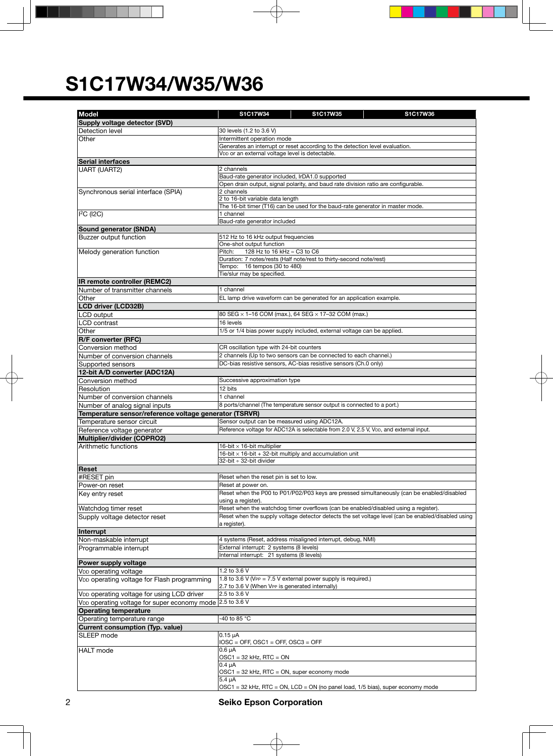| <b>Model</b>                                                          | S1C17W34                                                       | S1C17W35                                                                               | S1C17W36                                                                                            |  |  |  |
|-----------------------------------------------------------------------|----------------------------------------------------------------|----------------------------------------------------------------------------------------|-----------------------------------------------------------------------------------------------------|--|--|--|
| Supply voltage detector (SVD)                                         |                                                                |                                                                                        |                                                                                                     |  |  |  |
| Detection level                                                       | 30 levels (1.2 to 3.6 V)                                       |                                                                                        |                                                                                                     |  |  |  |
| Other                                                                 | Intermittent operation mode                                    |                                                                                        |                                                                                                     |  |  |  |
|                                                                       |                                                                | Generates an interrupt or reset according to the detection level evaluation.           |                                                                                                     |  |  |  |
|                                                                       | VDD or an external voltage level is detectable.                |                                                                                        |                                                                                                     |  |  |  |
| <b>Serial interfaces</b>                                              | 2 channels                                                     |                                                                                        |                                                                                                     |  |  |  |
| UART (UART2)                                                          | Baud-rate generator included, IrDA1.0 supported                |                                                                                        |                                                                                                     |  |  |  |
|                                                                       |                                                                | Open drain output, signal polarity, and baud rate division ratio are configurable.     |                                                                                                     |  |  |  |
| Synchronous serial interface (SPIA)                                   | 2 channels                                                     |                                                                                        |                                                                                                     |  |  |  |
|                                                                       | 2 to 16-bit variable data length                               |                                                                                        |                                                                                                     |  |  |  |
|                                                                       |                                                                | The 16-bit timer (T16) can be used for the baud-rate generator in master mode.         |                                                                                                     |  |  |  |
| <sup>2</sup> C (2C)                                                   | 1 channel<br>Baud-rate generator included                      |                                                                                        |                                                                                                     |  |  |  |
| Sound generator (SNDA)                                                |                                                                |                                                                                        |                                                                                                     |  |  |  |
| Buzzer output function                                                | 512 Hz to 16 kHz output frequencies                            |                                                                                        |                                                                                                     |  |  |  |
|                                                                       | One-shot output function                                       |                                                                                        |                                                                                                     |  |  |  |
| Melody generation function                                            | Pitch:<br>128 Hz to 16 kHz ≈ C3 to C6                          |                                                                                        |                                                                                                     |  |  |  |
|                                                                       |                                                                | Duration: 7 notes/rests (Half note/rest to thirty-second note/rest)                    |                                                                                                     |  |  |  |
|                                                                       | Tempo: 16 tempos (30 to 480)<br>Tie/slur may be specified.     |                                                                                        |                                                                                                     |  |  |  |
| <b>IR remote controller (REMC2)</b>                                   |                                                                |                                                                                        |                                                                                                     |  |  |  |
| Number of transmitter channels                                        | 1 channel                                                      |                                                                                        |                                                                                                     |  |  |  |
| Other                                                                 |                                                                | EL lamp drive waveform can be generated for an application example.                    |                                                                                                     |  |  |  |
| <b>LCD driver (LCD32B)</b>                                            |                                                                |                                                                                        |                                                                                                     |  |  |  |
| LCD output                                                            |                                                                | 80 SEG × 1-16 COM (max.), 64 SEG × 17-32 COM (max.)                                    |                                                                                                     |  |  |  |
| LCD contrast                                                          | 16 levels                                                      |                                                                                        |                                                                                                     |  |  |  |
| Other                                                                 |                                                                | 1/5 or 1/4 bias power supply included, external voltage can be applied.                |                                                                                                     |  |  |  |
| R/F converter (RFC)                                                   |                                                                |                                                                                        |                                                                                                     |  |  |  |
| Conversion method                                                     | CR oscillation type with 24-bit counters                       |                                                                                        |                                                                                                     |  |  |  |
| Number of conversion channels                                         |                                                                | 2 channels (Up to two sensors can be connected to each channel.)                       |                                                                                                     |  |  |  |
| Supported sensors                                                     |                                                                | DC-bias resistive sensors, AC-bias resistive sensors (Ch.0 only)                       |                                                                                                     |  |  |  |
| 12-bit A/D converter (ADC12A)                                         |                                                                |                                                                                        |                                                                                                     |  |  |  |
| Conversion method<br>Resolution                                       | Successive approximation type<br>12 bits                       |                                                                                        |                                                                                                     |  |  |  |
| Number of conversion channels                                         | 1 channel                                                      |                                                                                        |                                                                                                     |  |  |  |
| Number of analog signal inputs                                        |                                                                | 8 ports/channel (The temperature sensor output is connected to a port.)                |                                                                                                     |  |  |  |
| Temperature sensor/reference voltage generator (TSRVR)                |                                                                |                                                                                        |                                                                                                     |  |  |  |
| Temperature sensor circuit                                            | Sensor output can be measured using ADC12A.                    |                                                                                        |                                                                                                     |  |  |  |
| Reference voltage generator                                           |                                                                | Reference voltage for ADC12A is selectable from 2.0 V, 2.5 V, VDD, and external input. |                                                                                                     |  |  |  |
| Multiplier/divider (COPRO2)                                           |                                                                |                                                                                        |                                                                                                     |  |  |  |
| Arithmetic functions                                                  | 16-bit $\times$ 16-bit multiplier                              |                                                                                        |                                                                                                     |  |  |  |
|                                                                       | 16-bit $\times$ 16-bit + 32-bit multiply and accumulation unit |                                                                                        |                                                                                                     |  |  |  |
|                                                                       | 32-bit + 32-bit divider                                        |                                                                                        |                                                                                                     |  |  |  |
| Reset<br>#RESET pin                                                   | Reset when the reset pin is set to low.                        |                                                                                        |                                                                                                     |  |  |  |
| Power-on reset                                                        | Reset at power on.                                             |                                                                                        |                                                                                                     |  |  |  |
| Key entry reset                                                       |                                                                |                                                                                        | Reset when the P00 to P01/P02/P03 keys are pressed simultaneously (can be enabled/disabled          |  |  |  |
|                                                                       | using a register).                                             |                                                                                        |                                                                                                     |  |  |  |
| Watchdog timer reset                                                  |                                                                | Reset when the watchdog timer overflows (can be enabled/disabled using a register).    |                                                                                                     |  |  |  |
| Supply voltage detector reset                                         |                                                                |                                                                                        | Reset when the supply voltage detector detects the set voltage level (can be enabled/disabled using |  |  |  |
|                                                                       | a register).                                                   |                                                                                        |                                                                                                     |  |  |  |
| Interrupt                                                             |                                                                | 4 systems (Reset, address misaligned interrupt, debug, NMI)                            |                                                                                                     |  |  |  |
| Non-maskable interrupt<br>Programmable interrupt                      | External interrupt: 2 systems (8 levels)                       |                                                                                        |                                                                                                     |  |  |  |
|                                                                       | Internal interrupt: 21 systems (8 levels)                      |                                                                                        |                                                                                                     |  |  |  |
| Power supply voltage                                                  |                                                                |                                                                                        |                                                                                                     |  |  |  |
| V <sub>DD</sub> operating voltage                                     | 1.2 to 3.6 V                                                   |                                                                                        |                                                                                                     |  |  |  |
| V <sub>DD</sub> operating voltage for Flash programming               |                                                                | 1.8 to 3.6 V (VPP = $7.5$ V external power supply is required.)                        |                                                                                                     |  |  |  |
|                                                                       | 2.7 to 3.6 V (When VPP is generated internally)                |                                                                                        |                                                                                                     |  |  |  |
| VDD operating voltage for using LCD driver                            | 2.5 to 3.6 V                                                   |                                                                                        |                                                                                                     |  |  |  |
| V <sub>DD</sub> operating voltage for super economy mode 2.5 to 3.6 V |                                                                |                                                                                        |                                                                                                     |  |  |  |
| <b>Operating temperature</b>                                          | -40 to 85 °C                                                   |                                                                                        |                                                                                                     |  |  |  |
| Operating temperature range                                           |                                                                |                                                                                        |                                                                                                     |  |  |  |
| <b>Current consumption (Typ. value)</b><br>SLEEP mode                 | $0.15 \mu A$                                                   |                                                                                        |                                                                                                     |  |  |  |
|                                                                       | $IOSC = OFF$ , $OSC1 = OFF$ , $OSC3 = OFF$                     |                                                                                        |                                                                                                     |  |  |  |
| <b>HALT</b> mode                                                      | $0.6 \mu A$                                                    |                                                                                        |                                                                                                     |  |  |  |
|                                                                       | $OSC1 = 32$ kHz, RTC = ON                                      |                                                                                        |                                                                                                     |  |  |  |
|                                                                       | $0.4 \mu A$                                                    |                                                                                        |                                                                                                     |  |  |  |
|                                                                       | OSC1 = 32 kHz, RTC = ON, super economy mode<br>$5.4 \mu A$     |                                                                                        |                                                                                                     |  |  |  |
|                                                                       |                                                                | OSC1 = 32 kHz, RTC = ON, LCD = ON (no panel load, 1/5 bias), super economy mode        |                                                                                                     |  |  |  |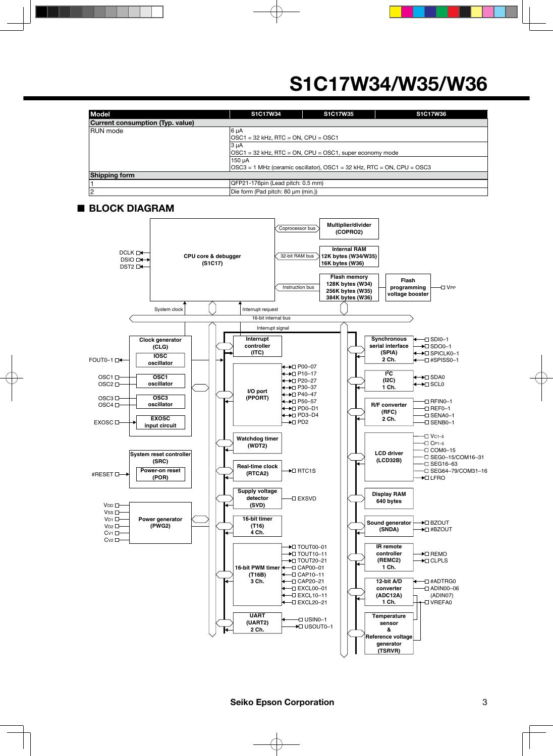| <b>Model</b>                     | <b>S1C17W34</b>                                                        | S1C17W35 | S1C17W36 |  |  |  |  |
|----------------------------------|------------------------------------------------------------------------|----------|----------|--|--|--|--|
| Current consumption (Typ. value) |                                                                        |          |          |  |  |  |  |
| <b>RUN</b> mode                  | $ 6 \mu A$                                                             |          |          |  |  |  |  |
|                                  | $\vert$ OSC1 = 32 kHz, RTC = ON, CPU = OSC1                            |          |          |  |  |  |  |
|                                  |                                                                        |          |          |  |  |  |  |
|                                  | OSC1 = 32 kHz, RTC = ON, CPU = OSC1, super economy mode                |          |          |  |  |  |  |
|                                  |                                                                        |          |          |  |  |  |  |
|                                  | OSC3 = 1 MHz (ceramic oscillator), OSC1 = 32 kHz, RTC = ON, CPU = OSC3 |          |          |  |  |  |  |
| <b>Shipping form</b>             |                                                                        |          |          |  |  |  |  |
|                                  | QFP21-176pin (Lead pitch: 0.5 mm)                                      |          |          |  |  |  |  |
| 2                                | Die form (Pad pitch: 80 µm (min.))                                     |          |          |  |  |  |  |

#### ■ **BLOCK DIAGRAM**

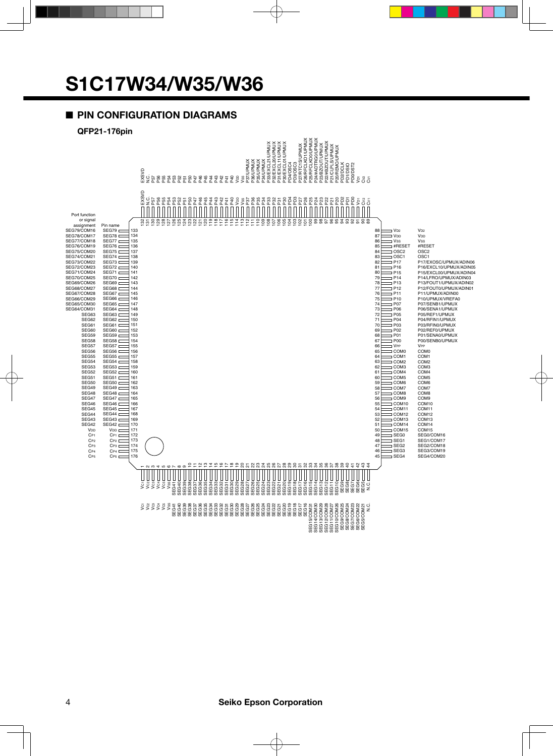### ■ **PIN CONFIGURATION DIAGRAMS**

#### **QFP21-176pin**

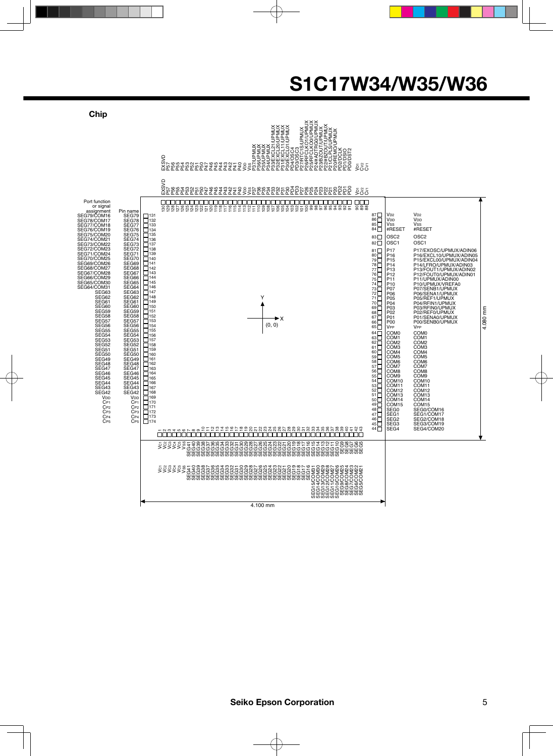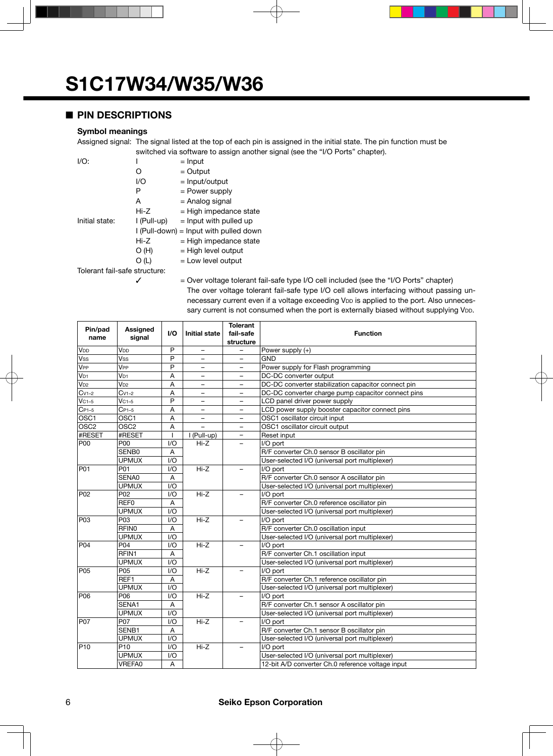### ■ **PIN DESCRIPTIONS**

#### **Symbol meanings**

Assigned signal: The signal listed at the top of each pin is assigned in the initial state. The pin function must be switched via software to assign another signal (see the "I/O Ports" chapter).

| $I/O$ :                       |             | $=$ Input                                |  |  |  |
|-------------------------------|-------------|------------------------------------------|--|--|--|
|                               | 0           | $=$ Output                               |  |  |  |
|                               | I/O         | $=$ Input/output                         |  |  |  |
|                               | Ρ           | = Power supply                           |  |  |  |
|                               | A           | = Analog signal                          |  |  |  |
|                               | Hi-Z        | $=$ High impedance state                 |  |  |  |
| Initial state:                | I (Pull-up) | $=$ lnput with pulled up                 |  |  |  |
|                               |             | $I$ (Pull-down) = Input with pulled down |  |  |  |
|                               | Hi-Z        | $=$ High impedance state                 |  |  |  |
|                               | O(H)        | $=$ High level output                    |  |  |  |
|                               | O (L)       | $=$ Low level output                     |  |  |  |
| Tolerant fail-safe structure: |             |                                          |  |  |  |

 $\checkmark$  = Over voltage tolerant fail-safe type I/O cell included (see the "I/O Ports" chapter) The over voltage tolerant fail-safe type I/O cell allows interfacing without passing unnecessary current even if a voltage exceeding VDD is applied to the port. Also unnecessary current is not consumed when the port is externally biased without supplying V<sub>DD</sub>.

| Pin/pad          | Assigned         |                         |                          | <b>Tolerant</b>                                |                                                     |
|------------------|------------------|-------------------------|--------------------------|------------------------------------------------|-----------------------------------------------------|
| name             | signal           | I/O                     | <b>Initial state</b>     | fail-safe                                      | <b>Function</b>                                     |
|                  |                  |                         |                          | structure                                      |                                                     |
| V <sub>DD</sub>  | V <sub>DD</sub>  | P                       | $\qquad \qquad -$        |                                                | Power supply (+)                                    |
| Vss              | Vss              | P                       | ÷                        |                                                | <b>GND</b>                                          |
| VPP              | V <sub>PP</sub>  | P                       |                          |                                                | Power supply for Flash programming                  |
| V <sub>D1</sub>  | V <sub>D1</sub>  | A                       |                          |                                                | DC-DC converter output                              |
| $V_{D2}$         | $V_{D2}$         | A                       | $\overline{\phantom{0}}$ | $\overline{\phantom{0}}$                       | DC-DC converter stabilization capacitor connect pin |
| $Cv1-2$          | $Cv1-2$          | A                       | $\overline{\phantom{0}}$ |                                                | DC-DC converter charge pump capacitor connect pins  |
| $VC1-5$          | $VC1-5$          | P                       | $\overline{\phantom{0}}$ | $\overline{\phantom{0}}$                       | LCD panel driver power supply                       |
| $CP1-5$          | $C_{P1-5}$       | A                       | $\qquad \qquad -$        |                                                | LCD power supply booster capacitor connect pins     |
| OSC1             | OSC1             | A                       | $\overline{\phantom{0}}$ |                                                | OSC1 oscillator circuit input                       |
| OSC <sub>2</sub> | OSC <sub>2</sub> | A                       | $\overline{a}$           |                                                | OSC1 oscillator circuit output                      |
| #RESET           | #RESET           | $\mathbf{I}$            | I (Pull-up)              | $\overline{\phantom{0}}$                       | Reset input                                         |
| POO              | P00              | VQ                      | $Hi-Z$                   |                                                | I/O port                                            |
|                  | SENB0            | A                       |                          |                                                | R/F converter Ch.0 sensor B oscillator pin          |
|                  | <b>UPMUX</b>     | $\mathsf{I}/\mathsf{O}$ |                          |                                                | User-selected I/O (universal port multiplexer)      |
| P01              | P01              | I/O                     | $Hi-Z$                   |                                                | I/O port                                            |
|                  | SENA0            | A                       |                          |                                                | R/F converter Ch.0 sensor A oscillator pin          |
|                  | <b>UPMUX</b>     | I/O                     |                          |                                                | User-selected I/O (universal port multiplexer)      |
| P02              | P <sub>02</sub>  | 1/O                     | $Hi-Z$                   |                                                | I/O port                                            |
|                  | REF0             | A                       |                          |                                                | R/F converter Ch.0 reference oscillator pin         |
|                  | <b>UPMUX</b>     | $\mathsf{I}/\mathsf{O}$ |                          |                                                | User-selected I/O (universal port multiplexer)      |
| P <sub>03</sub>  | P03              | VQ                      | $Hi-Z$                   |                                                | I/O port                                            |
|                  | <b>RFINO</b>     | A                       |                          |                                                | R/F converter Ch.0 oscillation input                |
|                  | <b>UPMUX</b>     | I/O                     |                          |                                                | User-selected I/O (universal port multiplexer)      |
| P04              | P04              | 1/O                     | $Hi-Z$                   |                                                | I/O port                                            |
|                  | RFIN1            | A                       |                          |                                                | R/F converter Ch.1 oscillation input                |
|                  | <b>UPMUX</b>     | 1/O                     |                          |                                                | User-selected I/O (universal port multiplexer)      |
| P <sub>05</sub>  | P05              | 1/O                     | $Hi-Z$                   |                                                | I/O port                                            |
|                  | REF1             | A                       |                          |                                                | R/F converter Ch.1 reference oscillator pin         |
|                  | <b>UPMUX</b>     | I/O                     |                          |                                                | User-selected I/O (universal port multiplexer)      |
| P <sub>06</sub>  | P06              | VQ                      | $Hi-Z$                   |                                                | I/O port                                            |
|                  | SENA1            | A                       |                          |                                                | R/F converter Ch.1 sensor A oscillator pin          |
|                  | <b>UPMUX</b>     | 1/O                     |                          |                                                | User-selected I/O (universal port multiplexer)      |
| P07              | P07              | 1/O                     | $Hi-Z$                   |                                                | I/O port                                            |
|                  | SENB1            | A                       |                          |                                                | R/F converter Ch.1 sensor B oscillator pin          |
|                  | <b>UPMUX</b>     | 1/O                     |                          |                                                | User-selected I/O (universal port multiplexer)      |
| P10              | P <sub>10</sub>  | I/O                     | $Hi-Z$                   |                                                | I/O port                                            |
|                  | <b>UPMUX</b>     | I/O                     |                          | User-selected I/O (universal port multiplexer) |                                                     |
|                  | VREFA0           | A                       |                          |                                                | 12-bit A/D converter Ch.0 reference voltage input   |

#### 6 **Seiko Epson Corporation**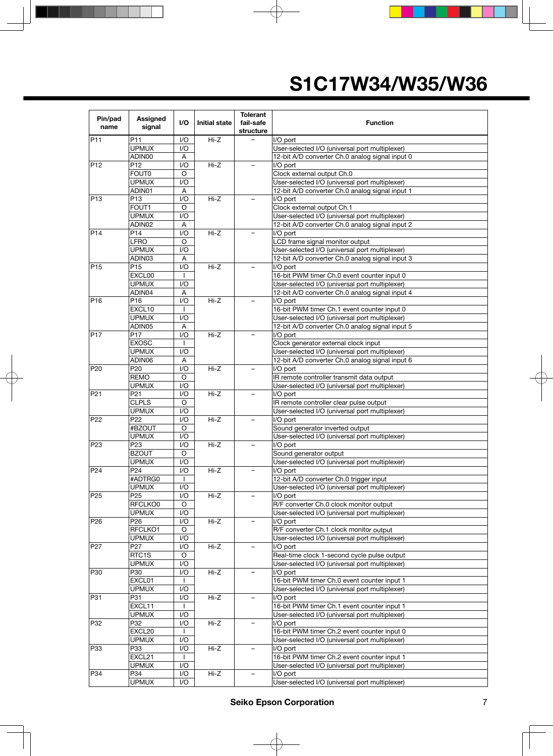| Pin/pad<br>name | Assigned<br>signal              | 1/O                     | <b>Initial state</b> | <b>Tolerant</b><br>fail-safe<br>structure | <b>Function</b>                                            |  |
|-----------------|---------------------------------|-------------------------|----------------------|-------------------------------------------|------------------------------------------------------------|--|
| P <sub>11</sub> | P11                             | I/O                     | Hi-Z                 |                                           | I/O port                                                   |  |
|                 | <b>UPMUX</b>                    | I/O                     |                      |                                           | User-selected I/O (universal port multiplexer)             |  |
|                 | ADIN00                          | Α                       |                      |                                           | 12-bit A/D converter Ch.0 analog signal input 0            |  |
| P <sub>12</sub> | P12                             | I/O                     | Hi-Z                 |                                           | I/O port                                                   |  |
|                 | <b>FOUT0</b>                    | $\circ$                 |                      |                                           | Clock external output Ch.0                                 |  |
|                 | <b>UPMUX</b>                    | 1/O                     |                      |                                           | User-selected I/O (universal port multiplexer)             |  |
|                 | ADIN01                          | Α                       |                      |                                           | 12-bit A/D converter Ch.0 analog signal input 1            |  |
| P <sub>13</sub> | P13                             | 1/O                     | $Hi-Z$               |                                           | I/O port                                                   |  |
|                 | FOUT1                           | O                       |                      |                                           | Clock external output Ch.1                                 |  |
|                 | <b>UPMUX</b>                    | I/O                     |                      |                                           | User-selected I/O (universal port multiplexer)             |  |
|                 | ADIN02                          | Α                       |                      |                                           | 12-bit A/D converter Ch.0 analog signal input 2            |  |
| P <sub>14</sub> | P14                             | I/O                     | $Hi-Z$               |                                           | I/O port                                                   |  |
|                 | <b>LFRO</b>                     | O                       |                      |                                           | LCD frame signal monitor output                            |  |
|                 | <b>UPMUX</b>                    | I/O                     |                      |                                           | User-selected I/O (universal port multiplexer)             |  |
|                 | ADIN03                          | A                       |                      |                                           | 12-bit A/D converter Ch.0 analog signal input 3            |  |
| P <sub>15</sub> | P <sub>15</sub>                 | I/O                     | $Hi-Z$               |                                           | I/O port                                                   |  |
|                 | EXCL00                          | $\mathbf{I}$            |                      |                                           | 16-bit PWM timer Ch.0 event counter input 0                |  |
|                 | <b>UPMUX</b>                    | I/O                     |                      |                                           | User-selected I/O (universal port multiplexer)             |  |
|                 | ADIN04                          | A                       |                      |                                           | 12-bit A/D converter Ch.0 analog signal input 4            |  |
| P <sub>16</sub> | P <sub>16</sub>                 | I/O                     | $Hi-Z$               |                                           | I/O port                                                   |  |
|                 | EXCL10                          | $\mathbf{I}$            |                      |                                           | 16-bit PWM timer Ch.1 event counter input 0                |  |
|                 | <b>UPMUX</b>                    | I/O                     |                      |                                           | User-selected I/O (universal port multiplexer)             |  |
|                 | ADIN05                          | A                       |                      |                                           | 12-bit A/D converter Ch.0 analog signal input 5            |  |
| P <sub>17</sub> | P <sub>17</sub>                 | I/O                     | $Hi-Z$               |                                           | I/O port                                                   |  |
|                 | <b>EXOSC</b>                    |                         |                      |                                           | Clock generator external clock input                       |  |
|                 | <b>UPMUX</b>                    | I/O                     |                      |                                           | User-selected I/O (universal port multiplexer)             |  |
|                 | ADIN06                          | Α                       |                      |                                           | 12-bit A/D converter Ch.0 analog signal input 6            |  |
| P <sub>20</sub> | P <sub>20</sub>                 | I/O                     | Hi-Z                 |                                           | I/O port                                                   |  |
|                 | <b>REMO</b>                     | $\circ$                 |                      |                                           | IR remote controller transmit data output                  |  |
|                 | <b>UPMUX</b>                    | I/O                     |                      |                                           | User-selected I/O (universal port multiplexer)             |  |
| P <sub>21</sub> | P21                             | I/O                     | $Hi-Z$               | $\qquad \qquad -$                         | I/O port                                                   |  |
|                 | <b>CLPLS</b>                    | O                       |                      |                                           | IR remote controller clear pulse output                    |  |
|                 | <b>UPMUX</b>                    | I/O                     |                      |                                           | User-selected I/O (universal port multiplexer)             |  |
| P <sub>22</sub> | P <sub>22</sub>                 | I/O                     | $Hi-Z$               |                                           | I/O port                                                   |  |
|                 | #BZOUT                          | $\circ$                 |                      |                                           | Sound generator inverted output                            |  |
|                 | <b>UPMUX</b>                    | I/O                     |                      |                                           | User-selected I/O (universal port multiplexer)             |  |
| P <sub>23</sub> | P <sub>23</sub>                 | 1/O                     | $Hi-Z$               |                                           | I/O port                                                   |  |
|                 | <b>BZOUT</b>                    | $\circ$                 |                      |                                           | Sound generator output                                     |  |
|                 | <b>UPMUX</b>                    | I/O                     |                      |                                           | User-selected I/O (universal port multiplexer)             |  |
| P24             | P <sub>24</sub>                 | I/O                     | Hi-Z                 |                                           | I/O port                                                   |  |
|                 | #ADTRG0                         | L                       |                      |                                           | 12-bit A/D converter Ch.0 trigger input                    |  |
|                 | <b>UPMUX</b>                    | 1/O                     |                      |                                           | User-selected I/O (universal port multiplexer)             |  |
| P <sub>25</sub> | P <sub>25</sub>                 | I/O                     | Hi-Z                 |                                           | I/O port                                                   |  |
|                 | RFCLKO0                         | $\circ$                 |                      |                                           | R/F converter Ch.0 clock monitor output                    |  |
|                 | <b>UPMUX</b>                    | I/O                     |                      |                                           | User-selected I/O (universal port multiplexer)             |  |
| P26             | P <sub>26</sub>                 | 1/O                     | Hi-Z                 |                                           | I/O port                                                   |  |
|                 | RFCLKO1                         | $\mathsf O$             |                      |                                           | R/F converter Ch.1 clock monitor output                    |  |
|                 | <b>UPMUX</b><br>P <sub>27</sub> | I/O                     |                      |                                           | User-selected I/O (universal port multiplexer)<br>I/O port |  |
| P <sub>27</sub> |                                 | I/O                     | Hi-Z                 |                                           |                                                            |  |
|                 | RTC1S                           | $\circ$                 |                      |                                           | Real-time clock 1-second cycle pulse output                |  |
|                 | <b>UPMUX</b>                    | I/O                     |                      |                                           | User-selected I/O (universal port multiplexer)             |  |
| P <sub>30</sub> | P30                             | I/O                     | Hi-Z                 |                                           | I/O port                                                   |  |
|                 | EXCL01                          |                         |                      |                                           | 16-bit PWM timer Ch.0 event counter input 1                |  |
|                 | <b>UPMUX</b>                    | I/O                     |                      |                                           | User-selected I/O (universal port multiplexer)             |  |
| P31             | P31                             | 1/O                     | Hi-Z                 | $\overline{\phantom{0}}$                  | I/O port                                                   |  |
|                 | EXCL11                          | $\mathbf{I}$            |                      |                                           | 16-bit PWM timer Ch.1 event counter input 1                |  |
|                 | <b>UPMUX</b>                    | 1/O                     |                      |                                           | User-selected I/O (universal port multiplexer)             |  |
| P32             | P32                             | I/O                     | Hi-Z                 |                                           | I/O port                                                   |  |
|                 | EXCL20                          | L                       |                      |                                           | 16-bit PWM timer Ch.2 event counter input 0                |  |
|                 | <b>UPMUX</b>                    | 1/O                     |                      |                                           | User-selected I/O (universal port multiplexer)             |  |
| P33             | P33                             | $\mathsf{I}/\mathsf{O}$ | $Hi-Z$               |                                           | I/O port                                                   |  |
|                 | EXCL21                          | $\mathbf{I}$            |                      |                                           | 16-bit PWM timer Ch.2 event counter input 1                |  |
|                 | <b>UPMUX</b>                    | I/O                     |                      |                                           | User-selected I/O (universal port multiplexer)             |  |
| P34             | P34                             | I/O                     | $Hi-Z$               |                                           | I/O port                                                   |  |
|                 | <b>UPMUX</b>                    | I/O                     |                      |                                           | User-selected I/O (universal port multiplexer)             |  |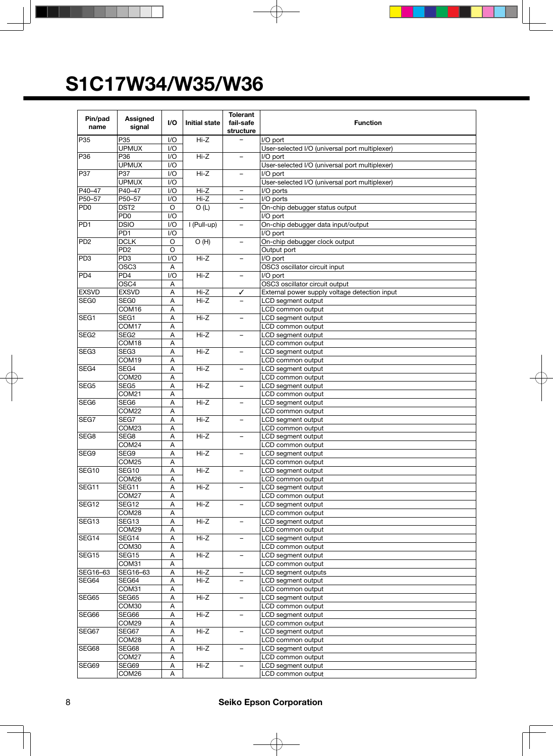| Pin/pad                     | Assigned                       | I/O                       | <b>Initial state</b> | <b>Tolerant</b><br>fail-safe | <b>Function</b>                                |
|-----------------------------|--------------------------------|---------------------------|----------------------|------------------------------|------------------------------------------------|
| name                        | signal                         |                           |                      | structure                    |                                                |
| P35                         | P35                            | 1/O                       | $Hi-Z$               |                              | I/O port                                       |
|                             | <b>UPMUX</b>                   | 1/O                       |                      |                              | User-selected I/O (universal port multiplexer) |
| P36                         | P36                            | 1/O                       | Hi-Z                 | $\qquad \qquad -$            | I/O port                                       |
|                             | <b>UPMUX</b>                   | 1/O                       |                      |                              | User-selected I/O (universal port multiplexer) |
| P37                         | P37                            | 1/O                       | $Hi-Z$               |                              | I/O port                                       |
|                             | <b>UPMUX</b>                   | 1/O                       |                      |                              | User-selected I/O (universal port multiplexer) |
| P40-47                      | P40-47                         | 1/O                       | Hi-Z                 | $\overline{\phantom{m}}$     | I/O ports                                      |
| P50-57                      | P50-57                         | 1/O                       | $Hi-Z$               | $\overline{\phantom{0}}$     | I/O ports                                      |
| P <sub>D</sub> <sub>0</sub> | DST <sub>2</sub>               | O                         | O(L)                 | -                            | On-chip debugger status output                 |
|                             | PD <sub>0</sub>                | 1/O                       |                      |                              | I/O port                                       |
| PD <sub>1</sub>             | <b>DSIO</b>                    | 1/O                       | I (Pull-up)          | $\overline{\phantom{0}}$     | On-chip debugger data input/output             |
|                             | PD <sub>1</sub>                | 1/O                       |                      |                              | I/O port                                       |
| PD <sub>2</sub>             | <b>DCLK</b><br>PD <sub>2</sub> | O<br>$\circ$              | O(H)                 | $\overline{\phantom{0}}$     | On-chip debugger clock output                  |
| PD3                         | PD <sub>3</sub>                | 1/O                       | $H - Z$              |                              | Output port<br>I/O port                        |
|                             | OSC <sub>3</sub>               | A                         |                      |                              | OSC3 oscillator circuit input                  |
| PD4                         | PD <sub>4</sub>                | 1/O                       | $Hi-Z$               | -                            | I/O port                                       |
|                             | OSC4                           | Α                         |                      |                              | OSC3 oscillator circuit output                 |
| <b>EXSVD</b>                | <b>EXSVD</b>                   | Α                         | Hi-Z                 | ✓                            | External power supply voltage detection input  |
| SEG <sub>0</sub>            | SEG0                           | А                         | $Hi-Z$               |                              | LCD segment output                             |
|                             | COM16                          | Α                         |                      |                              | LCD common output                              |
| SEG <sub>1</sub>            | SEG1                           | Α                         | $\overline{Hi}$ -Z   |                              | LCD segment output                             |
|                             | COM17                          | A                         |                      |                              | LCD common output                              |
| SEG <sub>2</sub>            | SEG <sub>2</sub>               | Α                         | $Hi-Z$               |                              | LCD segment output                             |
|                             | COM18                          | A                         |                      |                              | LCD common output                              |
| SEG <sub>3</sub>            | SEG <sub>3</sub>               | Α                         | $Hi-Z$               | $\overline{\phantom{0}}$     | LCD segment output                             |
|                             | COM19                          | Α                         |                      |                              | LCD common output                              |
| SEG4                        | SEG4                           | Α                         | $Hi-Z$               | $\overline{\phantom{0}}$     | LCD segment output                             |
|                             | COM20                          | Α                         |                      |                              | LCD common output                              |
| SEG <sub>5</sub>            | SEG5                           | Α                         | $Hi-Z$               | -                            | LCD segment output                             |
|                             | COM21                          | Α                         |                      |                              | LCD common output                              |
| SEG <sub>6</sub>            | SEG <sub>6</sub>               | Α                         | Hi-Z                 |                              | LCD segment output                             |
| SEG7                        | COM22<br>SEG7                  | Α<br>A                    | Hi-Z                 | $\equiv$                     | LCD common output<br>LCD segment output        |
|                             | COM23                          | Α                         |                      |                              | LCD common output                              |
| SEG <sub>8</sub>            | SEG8                           | Α                         | $Hi-Z$               |                              | LCD segment output                             |
|                             | COM24                          | Α                         |                      |                              | LCD common output                              |
| SEG9                        | SEG9                           | Α                         | Hi-Z                 | $\overline{\phantom{0}}$     | LCD segment output                             |
|                             | COM25                          | A                         |                      |                              | LCD common output                              |
| SEG <sub>10</sub>           | SEG10                          | Α                         | $Hi-Z$               | $\overline{\phantom{0}}$     | LCD segment output                             |
|                             | COM26                          | Α                         |                      |                              | LCD common output                              |
| SEG11                       | SEG11                          | Α                         | Hi-Z                 | -                            | LCD segment output                             |
|                             | COM27                          | Α                         |                      |                              | LCD common output                              |
| SEG12                       | SEG12                          | A                         | $Hi-Z$               | $\qquad \qquad -$            | LCD segment output                             |
|                             | COM28                          | Α                         |                      |                              | LCD common output                              |
| SEG <sub>13</sub>           | SEG13                          | A                         | $H - Z$              |                              | LCD segment output                             |
|                             | COM29                          | А                         |                      |                              | LCD common output                              |
| SEG14                       | SEG14                          | Α                         | Hi-Z                 |                              | LCD segment output                             |
|                             | COM30                          | Α                         |                      |                              | LCD common output                              |
| SEG15                       | SEG15                          | Α                         | Hi-Z                 |                              | LCD segment output                             |
|                             | COM31                          | A                         |                      |                              | LCD common output<br>LCD segment outputs       |
| SEG16-63<br>SEG64           | SEG16-63<br>SEG64              | Α<br>A                    | Hi-Z<br>$Hi-Z$       | $\overline{\phantom{a}}$     | LCD segment output                             |
|                             | COM31                          | Α                         |                      |                              | LCD common output                              |
| SEG65                       | SEG65                          | Α                         | Hi-Z                 |                              | LCD segment output                             |
|                             | COM30                          | A                         |                      |                              | LCD common output                              |
| SEG66                       | SEG66                          | Α                         | $Hi-Z$               |                              | LCD segment output                             |
|                             | COM29                          | $\boldsymbol{\mathsf{A}}$ |                      |                              | LCD common output                              |
| SEG67                       | SEG67                          | Α                         | Hi-Z                 | $\qquad \qquad -$            | LCD segment output                             |
|                             | COM28                          | A                         |                      |                              | LCD common output                              |
| SEG68                       | SEG68                          | Α                         | $Hi-Z$               | $\overline{\phantom{0}}$     | LCD segment output                             |
|                             | COM27                          | Α                         |                      |                              | LCD common output                              |
| SEG69                       | SEG69                          | A                         | Hi-Z                 |                              | LCD segment output                             |
|                             | COM26                          | Α                         |                      |                              | LCD common output                              |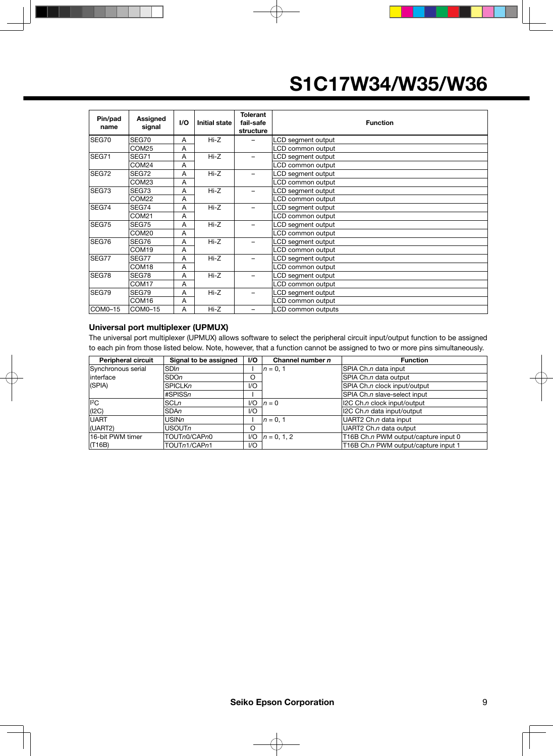| Pin/pad<br>name | Assigned<br>signal | I/O | <b>Initial state</b> | <b>Tolerant</b><br>fail-safe<br>structure | <b>Function</b>    |
|-----------------|--------------------|-----|----------------------|-------------------------------------------|--------------------|
| SEG70           | SEG70              | A   | Hi-Z                 |                                           | LCD segment output |
|                 | COM25              | A   |                      |                                           | LCD common output  |
| SEG71           | <b>SEG71</b>       | A   | Hi-Z                 |                                           | LCD segment output |
|                 | COM24              | A   |                      |                                           | LCD common output  |
| SEG72           | SEG72              | A   | Hi-Z                 |                                           | LCD segment output |
|                 | COM23              | A   |                      |                                           | LCD common output  |
| SEG73           | SEG73              | A   | Hi-Z                 |                                           | LCD segment output |
|                 | COM22              | A   |                      |                                           | LCD common output  |
| SEG74           | SEG74              | A   | Hi-Z                 |                                           | LCD segment output |
|                 | COM21              | A   |                      |                                           | LCD common output  |
| SEG75           | SEG75              | A   | $Hi-Z$               |                                           | LCD segment output |
|                 | COM20              | A   |                      |                                           | LCD common output  |
| SEG76           | SEG76              | A   | Hi-Z                 |                                           | LCD segment output |
|                 | COM <sub>19</sub>  | A   |                      |                                           | LCD common output  |
| SEG77           | SEG77              | A   | $Hi-Z$               |                                           | LCD segment output |
|                 | COM18              | A   |                      |                                           | LCD common output  |
| SEG78           | SEG78              | A   | $Hi-Z$               |                                           | LCD segment output |
|                 | COM <sub>17</sub>  | A   |                      |                                           | LCD common output  |
| SEG79           | SEG79              | A   | Hi-Z                 |                                           | LCD segment output |
|                 | COM <sub>16</sub>  | A   |                      |                                           | LCD common output  |
| COM0-15         | COM0-15            | A   | $Hi-Z$               |                                           | LCD common outputs |

#### **Universal port multiplexer (UPMUX)**

The universal port multiplexer (UPMUX) allows software to select the peripheral circuit input/output function to be assigned to each pin from those listed below. Note, however, that a function cannot be assigned to two or more pins simultaneously.

| <b>Peripheral circuit</b> | Signal to be assigned | I/O                    | Channel number n | <b>Function</b>                      |
|---------------------------|-----------------------|------------------------|------------------|--------------------------------------|
| Synchronous serial        | <b>SDIn</b>           |                        | $n = 0.1$        | SPIA Ch.n data input                 |
| linterface                | <b>SDOn</b>           | O                      |                  | SPIA Ch.n data output                |
| $ $ (SPIA)                | <b>SPICLKn</b>        | 1/O                    |                  | SPIA Ch.n clock input/output         |
|                           | #SPISSn               |                        |                  | SPIA Ch.n slave-select input         |
| I <sup>2</sup> C          | <b>SCLn</b>           | 1/O                    | $n=0$            | 12C Ch.n clock input/output          |
| (12C)                     | <b>SDAn</b>           | I/O                    |                  | 12C Ch.n data input/output           |
| <b>UART</b>               | <b>USINn</b>          |                        | $n = 0.1$        | UART2 Ch.n data input                |
| (UART2)                   | <b>USOUTn</b>         | $\circ$                |                  | UART2 Ch.n data output               |
| 16-bit PWM timer          | TOUTn0/CAPn0          | I/O                    | $n = 0.1.2$      | T16B Ch.n PWM output/capture input 0 |
| (T16B)                    | TOUTn1/CAPn1          | $\mathsf{U}\mathsf{O}$ |                  | T16B Ch.n PWM output/capture input 1 |